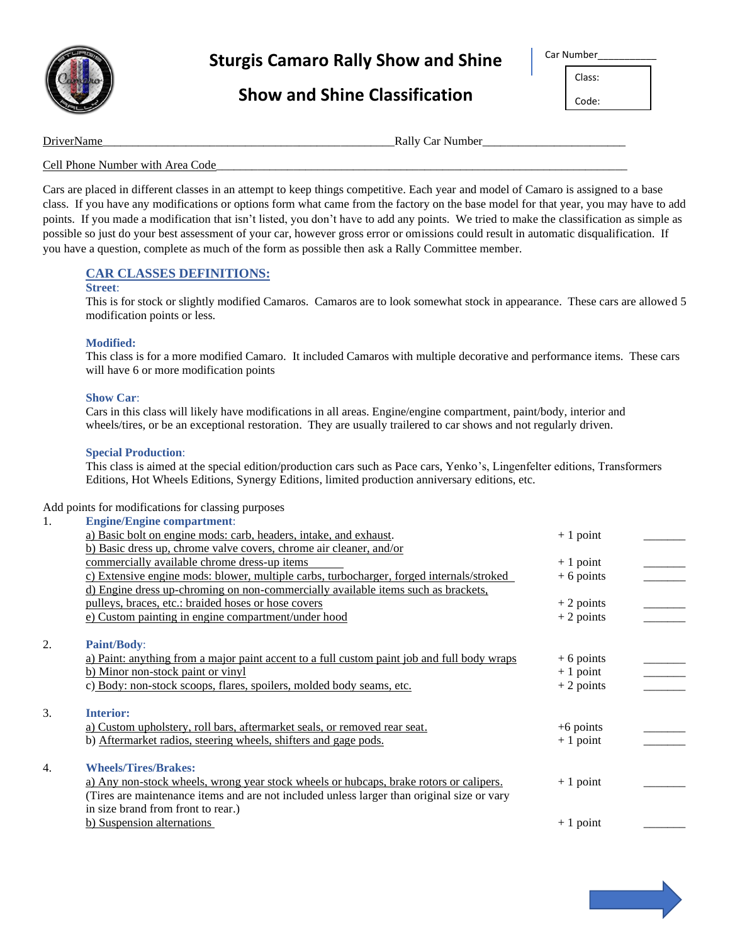

# Sturgis Camaro Rally Show and Shine **Camaro Rally Show and Shine**

## **Show and Shine Classification**

| ır Number |  |
|-----------|--|
|-----------|--|

Class: Code:

DriverName **Number** Rally Car Number

## Cell Phone Number with Area Code

Cars are placed in different classes in an attempt to keep things competitive. Each year and model of Camaro is assigned to a base class. If you have any modifications or options form what came from the factory on the base model for that year, you may have to add points. If you made a modification that isn't listed, you don't have to add any points. We tried to make the classification as simple as possible so just do your best assessment of your car, however gross error or omissions could result in automatic disqualification. If you have a question, complete as much of the form as possible then ask a Rally Committee member.

## **CAR CLASSES DEFINITIONS:**

#### **Street**:

This is for stock or slightly modified Camaros. Camaros are to look somewhat stock in appearance. These cars are allowed 5 modification points or less.

## **Modified:**

This class is for a more modified Camaro. It included Camaros with multiple decorative and performance items. These cars will have 6 or more modification points

## **Show Car**:

Cars in this class will likely have modifications in all areas. Engine/engine compartment, paint/body, interior and wheels/tires, or be an exceptional restoration. They are usually trailered to car shows and not regularly driven.

## **Special Production**:

This class is aimed at the special edition/production cars such as Pace cars, Yenko's, Lingenfelter editions, Transformers Editions, Hot Wheels Editions, Synergy Editions, limited production anniversary editions, etc.

Add points for modifications for classing purposes

| 1. | <b>Engine/Engine compartment:</b>                                                           |             |  |
|----|---------------------------------------------------------------------------------------------|-------------|--|
|    | a) Basic bolt on engine mods: carb, headers, intake, and exhaust.                           | $+1$ point  |  |
|    | b) Basic dress up, chrome valve covers, chrome air cleaner, and/or                          |             |  |
|    | commercially available chrome dress-up items                                                | $+1$ point  |  |
|    | c) Extensive engine mods: blower, multiple carbs, turbocharger, forged internals/stroked    | $+6$ points |  |
|    | d) Engine dress up-chroming on non-commercially available items such as brackets,           |             |  |
|    | pulleys, braces, etc.: braided hoses or hose covers                                         | $+2$ points |  |
|    | e) Custom painting in engine compartment/under hood                                         | $+2$ points |  |
| 2. | <b>Paint/Body:</b>                                                                          |             |  |
|    | a) Paint: anything from a major paint accent to a full custom paint job and full body wraps | $+6$ points |  |
|    | b) Minor non-stock paint or vinyl                                                           | $+1$ point  |  |
|    | c) Body: non-stock scoops, flares, spoilers, molded body seams, etc.                        | $+2$ points |  |
| 3. | <b>Interior:</b>                                                                            |             |  |
|    | a) Custom upholstery, roll bars, aftermarket seals, or removed rear seat.                   | $+6$ points |  |
|    | b) Aftermarket radios, steering wheels, shifters and gage pods.                             | $+1$ point  |  |
| 4. | <b>Wheels/Tires/Brakes:</b>                                                                 |             |  |
|    | a) Any non-stock wheels, wrong year stock wheels or hubcaps, brake rotors or calipers.      | $+1$ point  |  |
|    | (Tires are maintenance items and are not included unless larger than original size or vary  |             |  |
|    | in size brand from front to rear.)                                                          |             |  |
|    | b) Suspension alternations                                                                  | $+1$ point  |  |
|    |                                                                                             |             |  |